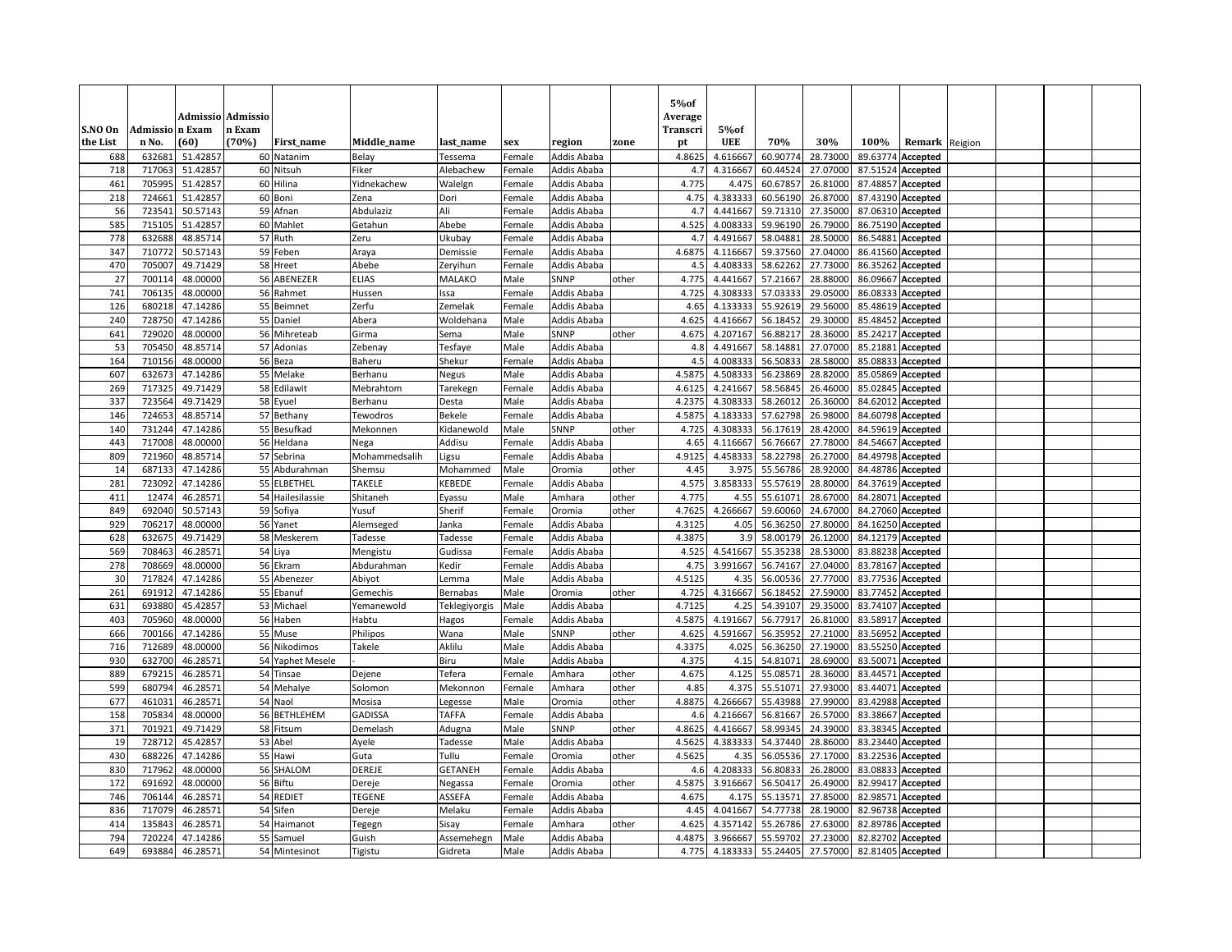| S.NO On    | Admissio n Exam  | <b>Admissio Admissio</b> | n Exam |                         |                        |                         |                  |                            |                | 5% of<br>Average<br>Transcri | $5%$ of          |                      |                      |          |                                        |         |  |  |
|------------|------------------|--------------------------|--------|-------------------------|------------------------|-------------------------|------------------|----------------------------|----------------|------------------------------|------------------|----------------------|----------------------|----------|----------------------------------------|---------|--|--|
| the List   | n No.            | (60)                     | (70%)  | First_name              | Middle_name            | last_name               | sex              | region                     | zone           | pt                           | <b>UEE</b>       | 70%                  | 30%                  | 100%     | Remark                                 | Reigion |  |  |
| 688        | 632681           | 51.42857                 |        | 60 Natanim              | Belay                  | Tessema                 | Female           | Addis Ababa                |                | 4.8625                       | 4.61666          | 60.90774             | 28.73000             | 89.6377  | Accepted                               |         |  |  |
| 718        | 717063           | 51.42857                 |        | 60 Nitsuh               | Fiker                  | Alebachew               | Female           | Addis Ababa                |                | 4.7                          | 4.31666          | 60.44524             | 27.07000             | 87.51524 | Accepted                               |         |  |  |
| 461        | 705995           | 51.42857                 |        | 60 Hilina               | Yidnekachew            | Walelgn                 | Female           | Addis Ababa                |                | 4.775                        | 4.475            | 60.67857             | 26.81000             | 87.48857 | Accepted                               |         |  |  |
| 218        | 724661           | 51.42857                 |        | 60 Boni                 | Zena                   | Dori                    | Female           | Addis Ababa                |                | 4.75                         | 4.38333          | 60.56190             | 26.87000             |          | 87.43190 Accepted                      |         |  |  |
| 56         | 723541           | 50.57143                 |        | 59 Afnan                | Abdulaziz              | Ali                     | Female           | Addis Ababa                |                | 4.7                          | 4.441667         | 59.71310             | 27.35000             |          | 87.06310 Accepted                      |         |  |  |
| 585        | 715105           | 51.42857                 |        | 60 Mahlet               | Getahun                | Abebe                   | Female           | Addis Ababa                |                | 4.525                        | 4.00833          | 59.96190             | 26.79000             |          | 86.75190 Accepted                      |         |  |  |
| 778        | 632688           | 48.85714                 |        | 57 Ruth                 | Zeru                   | Jkubay                  | Female           | Addis Ababa                |                | 4.7                          | 4.49166          | 58.04881             | 28.50000             | 86.54881 | Accepted                               |         |  |  |
| 347        | 710772           | 50.57143                 |        | 59 Feben                | Araya                  | Demissie                | Female           | Addis Ababa                |                | 4.6875                       | 4.116667         | 59.37560             | 27.04000             | 86.41560 | Accepted                               |         |  |  |
| 470        | 705007           | 49.71429                 |        | 58 Hreet                | Abebe                  | Zeryihun                | Female           | Addis Ababa                |                | 4.5                          | 4.40833          | 58.62262             | 27.73000             | 86.35262 | Accepted                               |         |  |  |
| 27         | 700114           | 48.00000                 |        | 56 ABENEZER             | <b>ELIAS</b>           | MALAKO                  | Male             | SNNP                       | other          | 4.775                        | 4.441667         | 57.21667             | 28.88000             | 86.09667 | Accepted                               |         |  |  |
| 741        | 706135           | 48.00000                 |        | 56 Rahmet               | Hussen                 | Issa                    | Female           | Addis Ababa                |                | 4.725                        | 4.30833          | 57.03333             | 29.05000             | 86.08333 | Accepted                               |         |  |  |
| 126        | 680218           | 47.14286                 |        | 55 Beimnet              | Zerfu                  | Zemelak                 | Female           | Addis Ababa                |                | 4.65                         | 4.13333          | 55.92619             | 29.56000             |          | 85.48619 Accepted                      |         |  |  |
| 240        | 728750           | 47.14286                 |        | 55 Daniel               | Abera                  | Woldehana               | Male             | Addis Ababa                |                | 4.625                        | 4.416667         | 56.18452             | 29.30000             | 85.48452 | Accepted                               |         |  |  |
| 641        | 729020           | 48.00000                 |        | 56 Mihreteab            | Girma                  | Sema                    | Male             | SNNP                       | other          | 4.675                        | 4.20716          | 56.88217             | 28.36000             | 85.24217 | Accepted                               |         |  |  |
| 53         | 705450           | 48.85714                 |        | 57 Adonias              | Zebenay                | Tesfaye                 | Male             | Addis Ababa                |                | 4.8                          | 4.491667         | 58.14881             | 27.07000             | 85.21881 | Accepted                               |         |  |  |
| 164        | 710156           | 48.00000                 |        | 56 Beza                 | Baheru                 | Shekur                  | Female           | Addis Ababa                |                | 4.5                          | 4.00833          | 56.50833             | 28.58000             | 85.08833 | Accepted                               |         |  |  |
| 607        | 632673           | 47.14286                 |        | 55 Melake               | Berhanu                | Negus                   | Male             | Addis Ababa                |                | 4.5875                       | 4.50833          | 56.23869             | 28.82000             | 85.05869 | Accepted                               |         |  |  |
| 269        | 717325           | 49.71429                 |        | 58 Edilawit             | Mebrahtom              | Tarekegn                | Female           | Addis Ababa                |                | 4.6125                       | 4.24166          | 58.56845             | 26.46000             | 85.02845 | Accepted                               |         |  |  |
| 337        | 723564           | 49.71429                 |        | 58 Eyuel                | Berhanu                | Desta                   | Male             | Addis Ababa                |                | 4.2375                       | 4.30833          | 58.26012             | 26.36000             | 84.62012 | Accepted                               |         |  |  |
| 146        | 724653           | 48.85714                 |        | 57 Bethany              | Tewodros               | Bekele                  | Female           | Addis Ababa                |                | 4.5875                       | 4.18333          | 57.62798             | 26.98000             | 84.60798 | Accepted                               |         |  |  |
| 140        | 731244           | 47.14286                 |        | 55 Besufkad             | Mekonnen               | Kidanewold              | Male             | SNNP                       | other          | 4.725                        | 4.30833          | 56.17619             | 28.42000             | 84.59619 | Accepted                               |         |  |  |
| 443        | 717008           | 48.00000                 |        | 56 Heldana              | Nega                   | Addisu                  | Female           | Addis Ababa                |                | 4.65                         | 4.116667         | 56.76667             | 27.78000             |          | 84.54667 Accepted                      |         |  |  |
| 809        | 721960           | 48.85714                 |        | 57 Sebrina              | Mohammedsalih          | Ligsu                   | Female           | Addis Ababa                |                | 4.9125                       | 4.45833          | 58.22798             | 26.27000             |          | 84.49798 Accepted                      |         |  |  |
| 14         | 687133           | 47.14286                 |        | 55 Abdurahman           | Shemsu                 | Mohammed                | Male             | Oromia                     | other          | 4.45                         | 3.97             | 55.56786             | 28.92000             |          | 84.48786 Accepted                      |         |  |  |
| 281        | 723092           | 47.14286                 |        | 55 ELBETHEL             | <b>TAKELE</b>          | <b>KEBEDE</b>           | Female           | Addis Ababa                |                | 4.575<br>4.775               | 3.858333         | 55.57619             | 28.80000             |          | 84.37619 Accepted                      |         |  |  |
| 411<br>849 | 12474<br>692040  | 46.28571                 |        | 54 Hailesilassie        | Shitaneh               | Eyassu                  | Male             | Amhara                     | other<br>other | 4.7625                       | 4.55<br>4.266667 | 55.61071<br>59.60060 | 28.67000             |          | 84.28071 Accepted                      |         |  |  |
| 929        |                  | 50.57143                 |        | 59 Sofiya               | Yusuf                  | Sherif                  | Female           | Oromia                     |                | 4.3125                       |                  |                      | 24.67000             | 84.27060 | Accepted                               |         |  |  |
| 628        | 706217<br>632675 | 48.00000<br>49.71429     |        | 56 Yanet<br>58 Meskerem | Alemseged<br>Tadesse   | lanka                   | Female<br>Female | Addis Ababa<br>Addis Ababa |                | 4.3875                       | 4.05<br>3.9      | 56.36250<br>58.00179 | 27.80000<br>26.12000 |          | 84.16250 Accepted<br>84.12179 Accepted |         |  |  |
| 569        | 708463           | 46.28571                 |        | 54 Liya                 |                        | Tadesse                 |                  |                            |                | 4.525                        | 4.541667         | 55.35238             | 28.53000             | 83.88238 |                                        |         |  |  |
| 278        | 708669           | 48.00000                 |        | 56 Ekram                | Mengistu<br>Abdurahman | Gudissa<br><b>Cedir</b> | Female<br>Female | Addis Ababa<br>Addis Ababa |                | 4.75                         | 3.991667         | 56.74167             | 27.04000             |          | Accepted<br>83.78167 Accepted          |         |  |  |
| 30         | 717824           | 47.14286                 |        | 55 Abenezer             | Abiyot                 | Lemma                   | Male             | Addis Ababa                |                | 4.5125                       | 4.35             | 56.00536             | 27.77000             |          | 83.77536 Accepted                      |         |  |  |
| 261        | 691912           | 47.14286                 |        | 55 Ebanuf               | Gemechis               | Bernabas                | Male             | Oromia                     | other          | 4.725                        | 4.316667         | 56.18452             | 27.59000             | 83.77452 | Accepted                               |         |  |  |
| 631        | 693880           | 45.42857                 |        | 53 Michael              | Yemanewold             | Teklegiyorgis           | Male             | Addis Ababa                |                | 4.7125                       | 4.25             | 54.39107             | 29.35000             | 83.74107 | Accepted                               |         |  |  |
| 403        | 705960           | 48.00000                 |        | 56 Haben                | Habtu                  | Hagos                   | Female           | Addis Ababa                |                | 4.5875                       | 4.191667         | 56.77917             | 26.81000             |          | 83.58917 Accepted                      |         |  |  |
| 666        | 700166           | 47.14286                 |        | 55 Muse                 | Philipos               | Wana                    | Male             | SNNP                       | other          | 4.625                        | 4.591667         | 56.35952             | 27.21000             | 83.56952 | Accepted                               |         |  |  |
| 716        | 712689           | 48.00000                 |        | 56 Nikodimos            | Takele                 | Aklilu                  | Male             | Addis Ababa                |                | 4.3375                       | 4.025            | 56.36250             | 27.19000             | 83.55250 | Accepted                               |         |  |  |
| 930        | 632700           | 46.28571                 |        | 54 Yaphet Mesele        |                        | Biru                    | Male             | Addis Ababa                |                | 4.375                        | 4.15             | 54.81071             | 28.69000             |          | 83.50071 Accepted                      |         |  |  |
| 889        | 679215           | 46.28571                 |        | 54 Tinsae               | Dejene                 | Tefera                  | Female           | Amhara                     | other          | 4.675                        | 4.125            | 55.08571             | 28.36000             | 83.44571 | Accepted                               |         |  |  |
| 599        | 680794           | 46.28571                 |        | 54 Mehalye              | Solomon                | Mekonnon                | Female           | Amhara                     | other          | 4.85                         | 4.375            | 55.51071             | 27.93000             | 83.44071 | Accepted                               |         |  |  |
| 677        | 461031           | 46.28571                 |        | 54 Naol                 | Mosisa                 | Legesse                 | Male             | Oromia                     | other          | 4.8875                       | 4.266667         | 55.43988             | 27.99000             |          | 83.42988 Accepted                      |         |  |  |
| 158        | 705834           | 48.00000                 |        | 56 BETHLEHEM            | GADISSA                | <b>TAFFA</b>            | Female           | Addis Ababa                |                | 4.6                          | 4.216667         | 56.81667             | 26.57000             | 83.38667 | Accepted                               |         |  |  |
| 371        | 701921           | 49.71429                 |        | 58 Fitsum               | Demelash               | Adugna                  | Male             | SNNP                       | other          | 4.8625                       | 4.416667         | 58.99345             | 24.39000             | 83.38345 | Accepted                               |         |  |  |
| 19         | 728712           | 45.42857                 |        | 53 Abel                 | Ayele                  | Tadesse                 | Male             | Addis Ababa                |                | 4.5625                       | 4.38333          | 54.37440             | 28.86000             |          | 83.23440 Accepted                      |         |  |  |
| 430        | 688226           | 47.14286                 |        | 55 Hawi                 | Guta                   | Tullu                   | Female           | Oromia                     | other          | 4.5625                       | 4.35             | 56.05536             | 27.17000             |          | 83.22536 Accepted                      |         |  |  |
| 830        | 717962           | 48.00000                 |        | 56 SHALOM               | DEREJE                 | <b>GETANEH</b>          | Female           | Addis Ababa                |                | 4.6                          | 4.20833          | 56.80833             | 26.28000             | 83.08833 | Accepted                               |         |  |  |
| 172        | 691692           | 48.00000                 |        | 56 Biftu                | Dereje                 | Negassa                 | Female           | Oromia                     | other          | 4.5875                       | 3.916667         | 56.50417             | 26.49000             |          | 82.99417 Accepted                      |         |  |  |
| 746        | 706144           | 46.28571                 |        | 54 REDIET               | <b>TEGENE</b>          | ASSEFA                  | Female           | Addis Ababa                |                | 4.675                        | 4.17             | 55.13571             | 27.85000             | 82.9857  | Accepted                               |         |  |  |
| 836        | 717079           | 46.28571                 |        | 54 Sifen                | Dereje                 | Melaku                  | Female           | Addis Ababa                |                | 4.45                         | 4.041667         | 54.77738             | 28.19000             | 82.96738 | Accepted                               |         |  |  |
| 414        | 135843           | 46.28571                 |        | 54 Haimanot             | Tegegn                 | Sisay                   | Female           | Amhara                     | other          | 4.625                        | 4.357142         | 55.26786             | 27.63000             | 82.89786 | Accepted                               |         |  |  |
| 794        | 720224           | 47.14286                 |        | 55 Samuel               | Guish                  | Assemehegn              | Male             | Addis Ababa                |                | 4.4875                       | 3.966667         | 55.59702             | 27.23000             |          | 82.82702 Accepted                      |         |  |  |
| 649        | 693884           | 46.28571                 |        | 54 Mintesinot           | Tigistu                | Gidreta                 | Male             | Addis Ababa                |                | 4.775                        | 4.183333         | 55.24405             | 27.57000             |          | 82.81405 Accepted                      |         |  |  |
|            |                  |                          |        |                         |                        |                         |                  |                            |                |                              |                  |                      |                      |          |                                        |         |  |  |